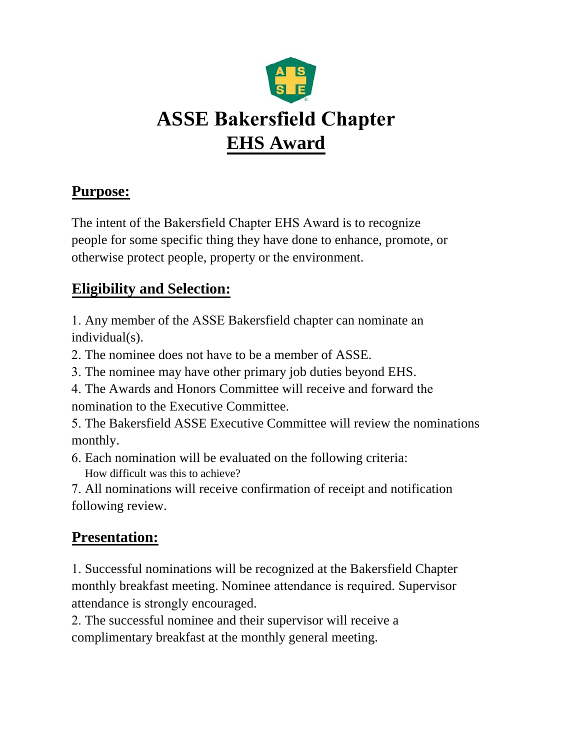

## **Purpose:**

The intent of the Bakersfield Chapter EHS Award is to recognize people for some specific thing they have done to enhance, promote, or otherwise protect people, property or the environment.

## **Eligibility and Selection:**

1. Any member of the ASSE Bakersfield chapter can nominate an individual(s).

2. The nominee does not have to be a member of ASSE.

- 3. The nominee may have other primary job duties beyond EHS.
- 4. The Awards and Honors Committee will receive and forward the nomination to the Executive Committee.

5. The Bakersfield ASSE Executive Committee will review the nominations monthly.

6. Each nomination will be evaluated on the following criteria: How difficult was this to achieve?

7. All nominations will receive confirmation of receipt and notification following review.

## **Presentation:**

1. Successful nominations will be recognized at the Bakersfield Chapter monthly breakfast meeting. Nominee attendance is required. Supervisor attendance is strongly encouraged.

2. The successful nominee and their supervisor will receive a complimentary breakfast at the monthly general meeting.